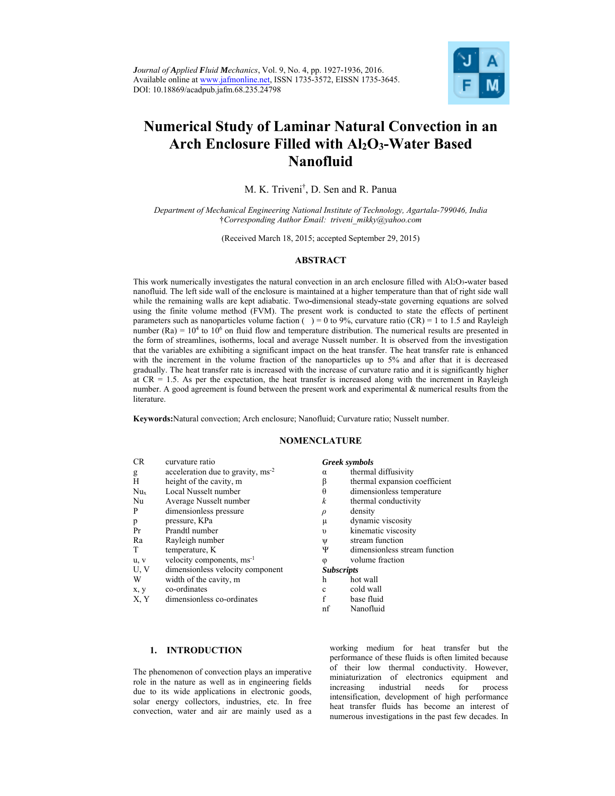

# **Numerical Study of Laminar Natural Convection in an Arch Enclosure Filled with Al2O3-Water Based Nanofluid**

M. K. Triveni† , D. Sen and R. Panua

*Department of Mechanical Engineering National Institute of Technology, Agartala-799046, India*  †*Corresponding Author Email: triveni\_mikky@yahoo.com* 

(Received March 18, 2015; accepted September 29, 2015)

## **ABSTRACT**

This work numerically investigates the natural convection in an arch enclosure filled with Al2O3**-**water based nanofluid. The left side wall of the enclosure is maintained at a higher temperature than that of right side wall while the remaining walls are kept adiabatic. Two**-**dimensional steady**-**state governing equations are solved using the finite volume method (FVM). The present work is conducted to state the effects of pertinent parameters such as nanoparticles volume faction () = 0 to 9%, curvature ratio (CR) = 1 to 1.5 and Rayleigh number (Ra) =  $10<sup>4</sup>$  to  $10<sup>6</sup>$  on fluid flow and temperature distribution. The numerical results are presented in the form of streamlines, isotherms, local and average Nusselt number. It is observed from the investigation that the variables are exhibiting a significant impact on the heat transfer. The heat transfer rate is enhanced with the increment in the volume fraction of the nanoparticles up to 5% and after that it is decreased gradually. The heat transfer rate is increased with the increase of curvature ratio and it is significantly higher at  $CR = 1.5$ . As per the expectation, the heat transfer is increased along with the increment in Rayleigh number. A good agreement is found between the present work and experimental & numerical results from the **literature** 

**Keywords:**Natural convection; Arch enclosure; Nanofluid; Curvature ratio; Nusselt number.

### **NOMENCLATURE**

| <b>CR</b> | curvature ratio                       |            | <b>Greek</b> symbols |
|-----------|---------------------------------------|------------|----------------------|
| g         | acceleration due to gravity, $ms-2$   | α          | thermal di           |
| H         | height of the cavity, m               | β          | thermal ex           |
| Nux       | Local Nusselt number                  | θ          | dimension            |
| Nu        | Average Nusselt number                | k          | thermal co           |
| P         | dimensionless pressure                | $\rho$     | density              |
| p         | pressure, KPa                         | μ          | dynamic v            |
| Pr        | Prandtl number                        | $\upsilon$ | kinematic            |
| Ra        | Rayleigh number                       | Ψ          | stream fur           |
| T         | temperature, K                        | Ψ          | dimension            |
| u, v      | velocity components, ms <sup>-1</sup> | φ          | volume fra           |
| U, V      | dimensionless velocity component      |            | <b>Subscripts</b>    |
| W         | width of the cavity, m                | h          | hot wall             |
| x, y      | co-ordinates                          | c          | cold wall            |
| X. Y      | dimensionless co-ordinates            |            | base fluid           |

#### Greek symbols

- $\alpha$  thermal diffusivity
- $\beta$  thermal expansion coefficient
- $\theta$  dimensionless temperature
- k thermal conductivity
- 
- $\mu$  dynamic viscosity
- v kinematic viscosity
- $\Psi$  stream function<br>  $\Psi$  dimensionless s
- dimensionless stream function
- $\varphi$  volume fraction

## **Subscripts**<br>h hot wall

- 
- c cold wall
- nf Nanofluid
- 

## **1. INTRODUCTION**

The phenomenon of convection plays an imperative role in the nature as well as in engineering fields due to its wide applications in electronic goods, solar energy collectors, industries, etc. In free convection, water and air are mainly used as a

working medium for heat transfer but the performance of these fluids is often limited because of their low thermal conductivity. However, miniaturization of electronics equipment and increasing industrial needs for process intensification, development of high performance heat transfer fluids has become an interest of numerous investigations in the past few decades. In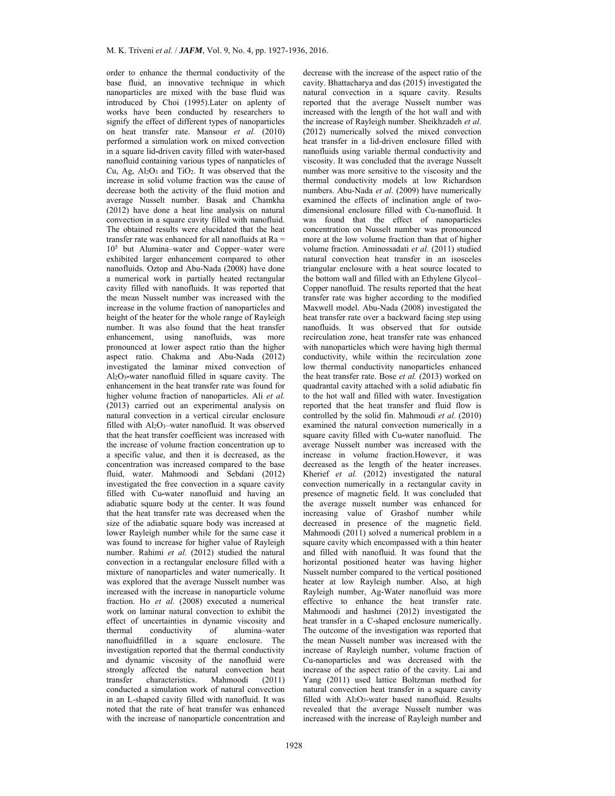order to enhance the thermal conductivity of the base fluid, an innovative technique in which nanoparticles are mixed with the base fluid was introduced by Choi (1995).Later on aplenty of works have been conducted by researchers to signify the effect of different types of nanoparticles on heat transfer rate. Mansour *et al*. (2010) performed a simulation work on mixed convection in a square lid**-**driven cavity filled with water**-**based nanofluid containing various types of nanpaticles of Cu, Ag, Al2O3 and TiO2. It was observed that the increase in solid volume fraction was the cause of decrease both the activity of the fluid motion and average Nusselt number. Basak and Chamkha (2012) have done a heat line analysis on natural convection in a square cavity filled with nanofluid. The obtained results were elucidated that the heat transfer rate was enhanced for all nanofluids at Ra = 105 but Alumina–water and Copper–water were exhibited larger enhancement compared to other nanofluids. Oztop and Abu-Nada (2008) have done a numerical work in partially heated rectangular cavity filled with nanofluids. It was reported that the mean Nusselt number was increased with the increase in the volume fraction of nanoparticles and height of the heater for the whole range of Rayleigh number. It was also found that the heat transfer enhancement, using nanofluids, was more pronounced at lower aspect ratio than the higher aspect ratio. Chakma and Abu-Nada (2012) investigated the laminar mixed convection of Al2O3**-**water nanofluid filled in square cavity. The enhancement in the heat transfer rate was found for higher volume fraction of nanoparticles. Ali *et al*. (2013) carried out an experimental analysis on natural convection in a vertical circular enclosure filled with Al<sub>2</sub>O<sub>3</sub>-water nanofluid. It was observed that the heat transfer coefficient was increased with the increase of volume fraction concentration up to a specific value, and then it is decreased, as the concentration was increased compared to the base fluid, water. Mahmoodi and Sebdani (2012) investigated the free convection in a square cavity filled with Cu**-**water nanofluid and having an adiabatic square body at the center. It was found that the heat transfer rate was decreased when the size of the adiabatic square body was increased at lower Rayleigh number while for the same case it was found to increase for higher value of Rayleigh number. Rahimi *et al*. (2012) studied the natural convection in a rectangular enclosure filled with a mixture of nanoparticles and water numerically. It was explored that the average Nusselt number was increased with the increase in nanoparticle volume fraction. Ho *et al*. (2008) executed a numerical work on laminar natural convection to exhibit the effect of uncertainties in dynamic viscosity and thermal conductivity of alumina–water nanofluidfilled in a square enclosure. The investigation reported that the thermal conductivity and dynamic viscosity of the nanofluid were strongly affected the natural convection heat transfer characteristics. Mahmoodi (2011) conducted a simulation work of natural convection in an L-shaped cavity filled with nanofluid. It was noted that the rate of heat transfer was enhanced with the increase of nanoparticle concentration and decrease with the increase of the aspect ratio of the cavity. Bhattacharya and das (2015) investigated the natural convection in a square cavity. Results reported that the average Nusselt number was increased with the length of the hot wall and with the increase of Rayleigh number. Sheikhzadeh *et al*. (2012) numerically solved the mixed convection heat transfer in a lid-driven enclosure filled with nanofluids using variable thermal conductivity and viscosity. It was concluded that the average Nusselt number was more sensitive to the viscosity and the thermal conductivity models at low Richardson numbers. Abu-Nada *et al*. (2009) have numerically examined the effects of inclination angle of twodimensional enclosure filled with Cu-nanofluid. It was found that the effect of nanoparticles concentration on Nusselt number was pronounced more at the low volume fraction than that of higher volume fraction. Aminossadati *et al.* (2011) studied natural convection heat transfer in an isosceles triangular enclosure with a heat source located to the bottom wall and filled with an Ethylene Glycol– Copper nanofluid. The results reported that the heat transfer rate was higher according to the modified Maxwell model. Abu-Nada (2008) investigated the heat transfer rate over a backward facing step using nanofluids. It was observed that for outside recirculation zone, heat transfer rate was enhanced with nanoparticles which were having high thermal conductivity, while within the recirculation zone low thermal conductivity nanoparticles enhanced the heat transfer rate. Bose *et al.* (2013) worked on quadrantal cavity attached with a solid adiabatic fin to the hot wall and filled with water. Investigation reported that the heat transfer and fluid flow is controlled by the solid fin. Mahmoudi *et al.* (2010) examined the natural convection numerically in a square cavity filled with Cu**-**water nanofluid. The average Nusselt number was increased with the increase in volume fraction.However, it was decreased as the length of the heater increases. Kherief *et al.* (2012) investigated the natural convection numerically in a rectangular cavity in presence of magnetic field. It was concluded that the average nusselt number was enhanced for increasing value of Grashof number while decreased in presence of the magnetic field. Mahmoodi (2011) solved a numerical problem in a square cavity which encompassed with a thin heater and filled with nanofluid. It was found that the horizontal positioned heater was having higher Nusselt number compared to the vertical positioned heater at low Rayleigh number. Also, at high Rayleigh number, Ag-Water nanofluid was more effective to enhance the heat transfer rate. Mahmoodi and hashmei (2012) investigated the heat transfer in a C-shaped enclosure numerically. The outcome of the investigation was reported that the mean Nusselt number was increased with the increase of Rayleigh number, volume fraction of Cu-nanoparticles and was decreased with the increase of the aspect ratio of the cavity. Lai and Yang (2011) used lattice Boltzman method for natural convection heat transfer in a square cavity filled with  $A$ <sub>2</sub>O<sub>3</sub>-water based nanofluid. Results revealed that the average Nusselt number was increased with the increase of Rayleigh number and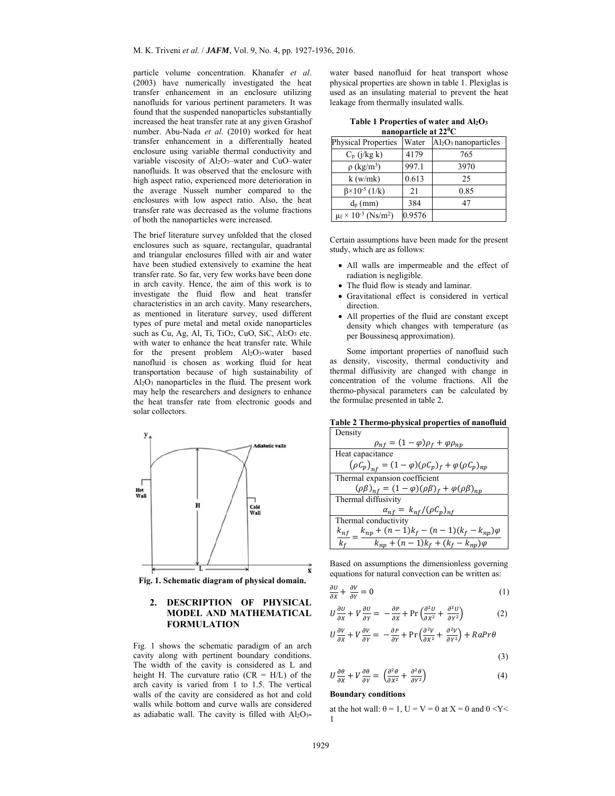particle volume concentration. Khanafer *et al*. (2003) have numerically investigated the heat transfer enhancement in an enclosure utilizing nanofluids for various pertinent parameters. It was found that the suspended nanoparticles substantially increased the heat transfer rate at any given Grashof number. Abu-Nada *et al*. (2010) worked for heat transfer enhancement in a differentially heated enclosure using variable thermal conductivity and variable viscosity of Al2O3–water and CuO–water nanofluids. It was observed that the enclosure with high aspect ratio, experienced more deterioration in the average Nusselt number compared to the enclosures with low aspect ratio. Also, the heat transfer rate was decreased as the volume fractions of both the nanoparticles were increased.

The brief literature survey unfolded that the closed enclosures such as square, rectangular, quadrantal and triangular enclosures filled with air and water have been studied extensively to examine the heat transfer rate. So far, very few works have been done in arch cavity. Hence, the aim of this work is to investigate the fluid flow and heat transfer characteristics in an arch cavity. Many researchers, as mentioned in literature survey, used different types of pure metal and metal oxide nanoparticles such as Cu, Ag, Al, Ti, TiO<sub>2</sub>, CuO, SiC, Al<sub>2</sub>O<sub>3</sub> etc. with water to enhance the heat transfer rate. While for the present problem Al2O3-water based nanofluid is chosen as working fluid for heat transportation because of high sustainability of Al2O3 nanoparticles in the fluid. The present work may help the researchers and designers to enhance the heat transfer rate from electronic goods and solar collectors.



**Fig. 1. Schematic diagram of physical domain.** 

## **2. DESCRIPTION OF PHYSICAL MODEL AND MATHEMATICAL FORMULATION**

Fig. 1 shows the schematic paradigm of an arch cavity along with pertinent boundary conditions. The width of the cavity is considered as L and height H. The curvature ratio ( $CR = H/L$ ) of the arch cavity is varied from 1 to 1.5. The vertical walls of the cavity are considered as hot and cold walls while bottom and curve walls are considered as adiabatic wall. The cavity is filled with Al2O3**-**

water based nanofluid for heat transport whose physical properties are shown in table 1. Plexiglas is used as an insulating material to prevent the heat leakage from thermally insulated walls.

| Table 1 Properties of water and $Al_2O_3$ |                         |  |  |  |
|-------------------------------------------|-------------------------|--|--|--|
|                                           | nanoparticle at $22^0C$ |  |  |  |

| <b>Physical Properties</b>             | Water  | $Al_2O_3$ nanoparticles |
|----------------------------------------|--------|-------------------------|
| $C_p$ (j/kg k)                         | 4179   | 765                     |
| $\rho$ (kg/m <sup>3</sup> )            | 997.1  | 3970                    |
| k(w/mk)                                | 0.613  | 25                      |
| $\beta \times 10^{-5}$ (1/k)           | 21     | 0.85                    |
| $d_p$ (mm)                             | 384    | 47                      |
| $\mu$ s $10^{-3}$ (Ns/m <sup>2</sup> ) | 0.9576 |                         |

Certain assumptions have been made for the present study, which are as follows:

- All walls are impermeable and the effect of radiation is negligible.
- The fluid flow is steady and laminar.
- Gravitational effect is considered in vertical direction.
- All properties of the fluid are constant except density which changes with temperature (as per Boussinesq approximation).

Some important properties of nanofluid such as density, viscosity, thermal conductivity and thermal diffusivity are changed with change in concentration of the volume fractions. All the thermo-physical parameters can be calculated by the formulae presented in table 2.

| Table 2 Thermo-physical properties of nanofluid |  |
|-------------------------------------------------|--|
|-------------------------------------------------|--|

| Density                                                                        |
|--------------------------------------------------------------------------------|
| $\rho_{nf} = (1 - \varphi)\rho_f + \varphi\rho_{np}$                           |
| Heat capacitance                                                               |
| $(\rho C_p)_{n f} = (1 - \varphi)(\rho C_p)_{f} + \varphi (\rho C_p)_{n p}$    |
| Thermal expansion coefficient                                                  |
| $(\rho \beta)_{nf} = (1 - \varphi)(\rho \beta)_{f} + \varphi(\rho \beta)_{np}$ |
| Thermal diffusivity                                                            |
| $\alpha_{nf} = k_{nf}/(\rho C_p)_{nf}$                                         |
| Thermal conductivity                                                           |
| $k_{np} + (n-1)k_f - (n-1)(k_f - k_{np})\varphi$<br>$k_{nf}$                   |
| $k_{np} + (n-1)k_f + (k_f - k_{np})\varphi$<br>k <sub>f</sub>                  |

Based on assumptions the dimensionless governing equations for natural convection can be written as:

$$
\frac{\partial U}{\partial x} + \frac{\partial V}{\partial y} = 0 \tag{1}
$$

$$
U\frac{\partial U}{\partial x} + V\frac{\partial U}{\partial y} = -\frac{\partial P}{\partial x} + \Pr\left(\frac{\partial^2 U}{\partial x^2} + \frac{\partial^2 U}{\partial y^2}\right) \tag{2}
$$

$$
U\frac{\partial V}{\partial x} + V\frac{\partial V}{\partial y} = -\frac{\partial P}{\partial y} + \Pr\left(\frac{\partial^2 V}{\partial x^2} + \frac{\partial^2 V}{\partial y^2}\right) + RaPr\theta
$$

$$
(\mathbf{3})
$$

$$
U\frac{\partial\theta}{\partial x} + V\frac{\partial\theta}{\partial y} = \left(\frac{\partial^2\theta}{\partial x^2} + \frac{\partial^2\theta}{\partial y^2}\right)
$$
 (4)

## **Boundary conditions**

at the hot wall:  $\theta = 1$ ,  $U = V = 0$  at  $X = 0$  and  $0 < Y <$ 1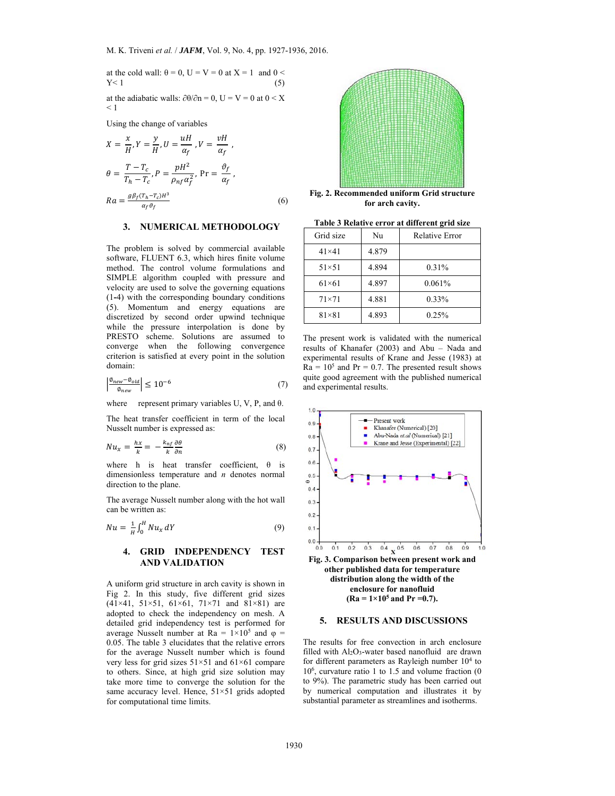$\overline{y}$ 

at the cold wall: 
$$
\theta = 0
$$
,  $U = V = 0$  at  $X = 1$  and  $0 < Y < 1$  (5)

at the adiabatic walls:  $\partial \theta / \partial n = 0$ , U = V = 0 at 0 < X  $< 1$ 

Using the change of variables

$$
X = \frac{x}{H}, Y = \frac{y}{H}, U = \frac{uH}{\alpha_f}, V = \frac{vH}{\alpha_f},
$$
  
\n
$$
\theta = \frac{T - T_c}{T_h - T_c}, P = \frac{pH^2}{\rho_{nf} \alpha_f^2}, \text{ Pr} = \frac{\vartheta_f}{\alpha_f},
$$
  
\n
$$
Ra = \frac{g\beta_f(T_h - T_c)H^3}{\alpha_f \vartheta_f}
$$
\n(6)



**Fig. 2. Recommended uniform Grid structure for arch cavity.**

## **3. NUMERICAL METHODOLOGY**

The problem is solved by commercial available software, FLUENT 6.3, which hires finite volume method. The control volume formulations and SIMPLE algorithm coupled with pressure and velocity are used to solve the governing equations (1**-**4) with the corresponding boundary conditions (5). Momentum and energy equations are discretized by second order upwind technique while the pressure interpolation is done by PRESTO scheme. Solutions are assumed to converge when the following convergence criterion is satisfied at every point in the solution domain:

$$
\left| \frac{\phi_{new} - \phi_{old}}{\phi_{new}} \right| \le 10^{-6} \tag{7}
$$

where represent primary variables U, V, P, and  $\theta$ .

The heat transfer coefficient in term of the local Nusselt number is expressed as:

$$
Nu_x = \frac{hx}{k} = -\frac{k_{nf}}{k} \frac{\partial \theta}{\partial n}
$$
\n(8)

where h is heat transfer coefficient,  $\theta$  is dimensionless temperature and *n* denotes normal direction to the plane.

The average Nusselt number along with the hot wall can be written as:

$$
Nu = \frac{1}{H} \int_0^H Nu_x \, dY \tag{9}
$$

## **4. GRID INDEPENDENCY TEST AND VALIDATION**

A uniform grid structure in arch cavity is shown in Fig 2. In this study, five different grid sizes  $(41 \times 41, 51 \times 51, 61 \times 61, 71 \times 71$  and  $81 \times 81$ ) are adopted to check the independency on mesh. A detailed grid independency test is performed for average Nusselt number at Ra =  $1 \times 10^5$  and  $\varphi$  = 0.05. The table 3 elucidates that the relative errors for the average Nusselt number which is found very less for grid sizes 51×51 and 61×61 compare to others. Since, at high grid size solution may take more time to converge the solution for the same accuracy level. Hence,  $51\times51$  grids adopted for computational time limits.

**Table 3 Relative error at different grid size** 

| Grid size      | Nu    | <b>Relative Error</b> |
|----------------|-------|-----------------------|
| $41\times41$   | 4.879 |                       |
| $51 \times 51$ | 4.894 | 0.31%                 |
| $61\times61$   | 4.897 | 0.061%                |
| $71\times71$   | 4.881 | $0.33\%$              |
| $81\times81$   | 4.893 | 0.25%                 |

The present work is validated with the numerical results of Khanafer (2003) and Abu – Nada and experimental results of Krane and Jesse (1983) at  $Ra = 10<sup>5</sup>$  and Pr = 0.7. The presented result shows quite good agreement with the published numerical and experimental results.



#### **5. RESULTS AND DISCUSSIONS**

The results for free convection in arch enclosure filled with Al<sub>2</sub>O<sub>3</sub>-water based nanofluid are drawn for different parameters as Rayleigh number  $10<sup>4</sup>$  to 106, curvature ratio 1 to 1.5 and volume fraction (0 to 9%). The parametric study has been carried out by numerical computation and illustrates it by substantial parameter as streamlines and isotherms.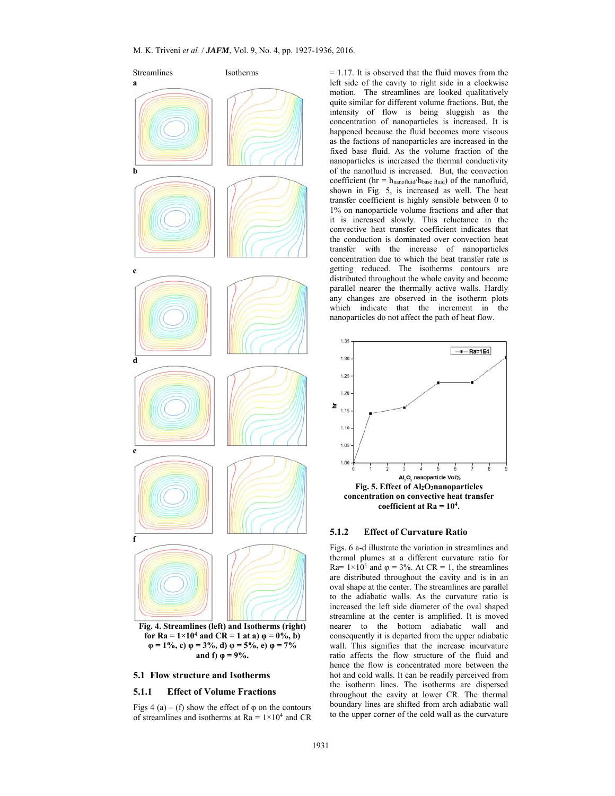

#### **5.1 Flow structure and Isotherms**

## **5.1.1 Effect of Volume Fractions**

Figs 4 (a) – (f) show the effect of  $\varphi$  on the contours of streamlines and isotherms at  $Ra = 1 \times 10^4$  and CR

= 1.17. It is observed that the fluid moves from the left side of the cavity to right side in a clockwise motion. The streamlines are looked qualitatively quite similar for different volume fractions. But, the intensity of flow is being sluggish as the concentration of nanoparticles is increased. It is happened because the fluid becomes more viscous as the factions of nanoparticles are increased in the fixed base fluid. As the volume fraction of the nanoparticles is increased the thermal conductivity of the nanofluid is increased. But, the convection coefficient ( $hr = h_{nanofluid}/h_{base fluid}$ ) of the nanofluid, shown in Fig. 5, is increased as well. The heat transfer coefficient is highly sensible between 0 to 1% on nanoparticle volume fractions and after that it is increased slowly. This reluctance in the convective heat transfer coefficient indicates that the conduction is dominated over convection heat transfer with the increase of nanoparticles concentration due to which the heat transfer rate is getting reduced. The isotherms contours are distributed throughout the whole cavity and become parallel nearer the thermally active walls. Hardly any changes are observed in the isotherm plots which indicate that the increment in the nanoparticles do not affect the path of heat flow.



#### **5.1.2 Effect of Curvature Ratio**

Figs. 6 a-d illustrate the variation in streamlines and thermal plumes at a different curvature ratio for Ra=  $1 \times 10^5$  and  $\varphi = 3\%$ . At CR = 1, the streamlines are distributed throughout the cavity and is in an oval shape at the center. The streamlines are parallel to the adiabatic walls. As the curvature ratio is increased the left side diameter of the oval shaped streamline at the center is amplified. It is moved nearer to the bottom adiabatic wall and consequently it is departed from the upper adiabatic wall. This signifies that the increase incurvature ratio affects the flow structure of the fluid and hence the flow is concentrated more between the hot and cold walls. It can be readily perceived from the isotherm lines. The isotherms are dispersed throughout the cavity at lower CR. The thermal boundary lines are shifted from arch adiabatic wall to the upper corner of the cold wall as the curvature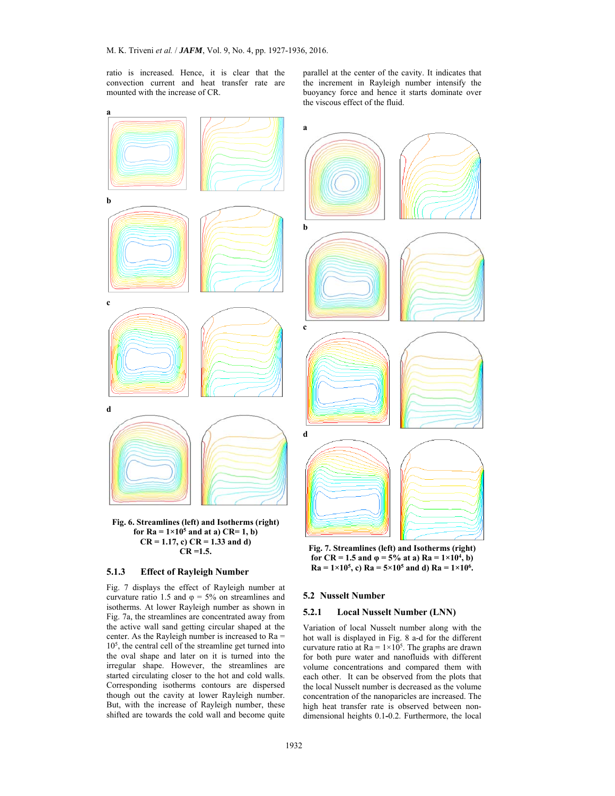ratio is increased. Hence, it is clear that the convection current and heat transfer rate are mounted with the increase of CR.

parallel at the center of the cavity. It indicates that the increment in Rayleigh number intensify the buoyancy force and hence it starts dominate over the viscous effect of the fluid.



**Fig. 7. Streamlines (left) and Isotherms (right) for CR = 1.5 and**  $\varphi$  **= 5% at a) Ra = 1×10<sup>4</sup>, b)**  $Ra = 1 \times 10^5$ , c)  $Ra = 5 \times 10^5$  and d)  $Ra = 1 \times 10^6$ .

#### **5.2 Nusselt Number**

#### **5.2.1 Local Nusselt Number (LNN)**

Variation of local Nusselt number along with the hot wall is displayed in Fig. 8 a-d for the different curvature ratio at  $Ra = 1 \times 10^5$ . The graphs are drawn for both pure water and nanofluids with different volume concentrations and compared them with each other. It can be observed from the plots that the local Nusselt number is decreased as the volume concentration of the nanoparicles are increased. The high heat transfer rate is observed between nondimensional heights 0.1**-**0.2. Furthermore, the local

## **CR =1.5. 5.1.3 Effect of Rayleigh Number**

Fig. 7 displays the effect of Rayleigh number at curvature ratio 1.5 and  $\varphi = 5\%$  on streamlines and isotherms. At lower Rayleigh number as shown in Fig. 7a, the streamlines are concentrated away from the active wall sand getting circular shaped at the center. As the Rayleigh number is increased to Ra =  $10<sup>5</sup>$ , the central cell of the streamline get turned into the oval shape and later on it is turned into the irregular shape. However, the streamlines are started circulating closer to the hot and cold walls. Corresponding isotherms contours are dispersed though out the cavity at lower Rayleigh number. But, with the increase of Rayleigh number, these shifted are towards the cold wall and become quite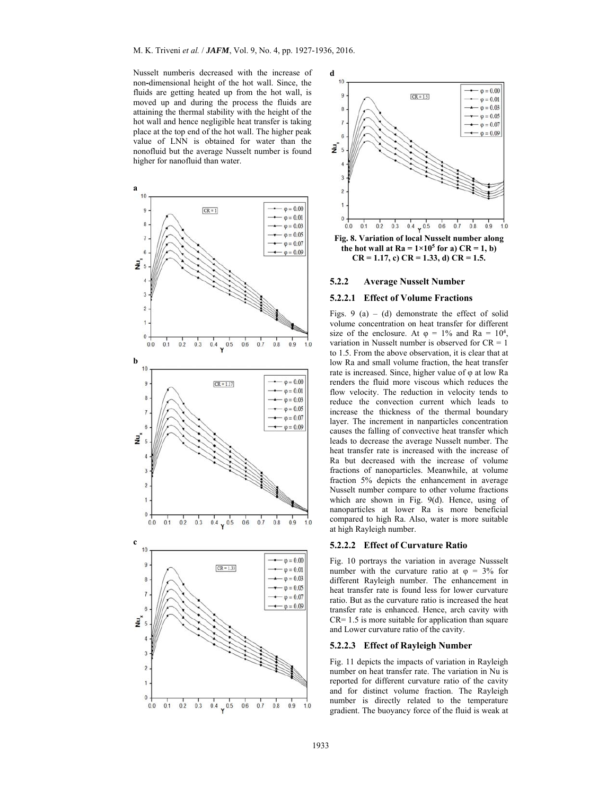Nusselt numberis decreased with the increase of non**-**dimensional height of the hot wall. Since, the fluids are getting heated up from the hot wall, is moved up and during the process the fluids are attaining the thermal stability with the height of the hot wall and hence negligible heat transfer is taking place at the top end of the hot wall. The higher peak value of LNN is obtained for water than the nonofluid but the average Nusselt number is found higher for nanofluid than water.





**Fig. 8. Variation of local Nusselt number along**  the hot wall at  $Ra = 1 \times 10^5$  for a)  $CR = 1$ , b) **CR = 1.17, c) CR = 1.33, d) CR = 1.5.** 

#### **5.2.2 Average Nusselt Number**

## **5.2.2.1 Effect of Volume Fractions**

Figs. 9 (a) – (d) demonstrate the effect of solid volume concentration on heat transfer for different size of the enclosure. At  $\varphi = 1\%$  and Ra =  $10^4$ , variation in Nusselt number is observed for  $CR = 1$ to 1.5. From the above observation, it is clear that at low Ra and small volume fraction, the heat transfer rate is increased. Since, higher value of φ at low Ra renders the fluid more viscous which reduces the flow velocity. The reduction in velocity tends to reduce the convection current which leads to increase the thickness of the thermal boundary layer. The increment in nanparticles concentration causes the falling of convective heat transfer which leads to decrease the average Nusselt number. The heat transfer rate is increased with the increase of Ra but decreased with the increase of volume fractions of nanoparticles. Meanwhile, at volume fraction 5% depicts the enhancement in average Nusselt number compare to other volume fractions which are shown in Fig. 9(d). Hence, using of nanoparticles at lower Ra is more beneficial compared to high Ra. Also, water is more suitable at high Rayleigh number.

#### **5.2.2.2 Effect of Curvature Ratio**

Fig. 10 portrays the variation in average Nussselt number with the curvature ratio at  $\varphi = 3\%$  for different Rayleigh number. The enhancement in heat transfer rate is found less for lower curvature ratio. But as the curvature ratio is increased the heat transfer rate is enhanced. Hence, arch cavity with  $CR = 1.5$  is more suitable for application than square and Lower curvature ratio of the cavity.

## **5.2.2.3 Effect of Rayleigh Number**

Fig. 11 depicts the impacts of variation in Rayleigh number on heat transfer rate. The variation in Nu is reported for different curvature ratio of the cavity and for distinct volume fraction. The Rayleigh number is directly related to the temperature gradient. The buoyancy force of the fluid is weak at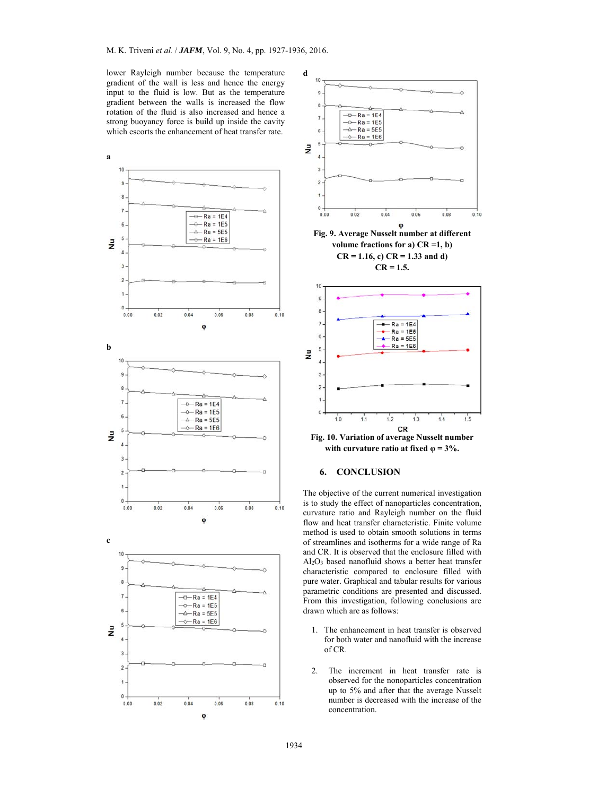lower Rayleigh number because the temperature gradient of the wall is less and hence the energy input to the fluid is low. But as the temperature gradient between the walls is increased the flow rotation of the fluid is also increased and hence a strong buoyancy force is build up inside the cavity which escorts the enhancement of heat transfer rate.





**Fig. 10. Variation of average Nusselt number with curvature ratio at fixed**  $\varphi = 3\%$ **.** 

#### **6. CONCLUSION**

The objective of the current numerical investigation is to study the effect of nanoparticles concentration, curvature ratio and Rayleigh number on the fluid flow and heat transfer characteristic. Finite volume method is used to obtain smooth solutions in terms of streamlines and isotherms for a wide range of Ra and CR. It is observed that the enclosure filled with Al2O3 based nanofluid shows a better heat transfer characteristic compared to enclosure filled with pure water. Graphical and tabular results for various parametric conditions are presented and discussed. From this investigation, following conclusions are drawn which are as follows:

- 1. The enhancement in heat transfer is observed for both water and nanofluid with the increase of CR.
- 2. The increment in heat transfer rate is observed for the nonoparticles concentration up to 5% and after that the average Nusselt number is decreased with the increase of the concentration.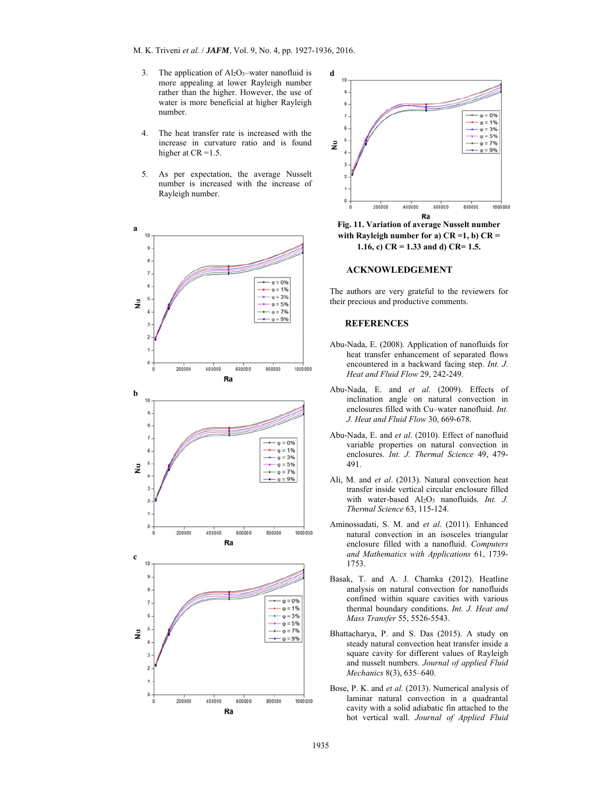- 3. The application of  $Al_2O_3$ -water nanofluid is more appealing at lower Rayleigh number rather than the higher. However, the use of water is more beneficial at higher Rayleigh number.
- 4. The heat transfer rate is increased with the increase in curvature ratio and is found higher at CR = 1.5.
- 5. As per expectation, the average Nusselt number is increased with the increase of Rayleigh number.





**Fig. 11. Variation of average Nusselt number with Rayleigh number for a) CR =1, b) CR = 1.16, c) CR = 1.33 and d) CR= 1.5.** 

#### **ACKNOWLEDGEMENT**

The authors are very grateful to the reviewers for their precious and productive comments.

### **REFERENCES**

- Abu-Nada, E. (2008). Application of nanofluids for heat transfer enhancement of separated flows encountered in a backward facing step. *Int. J. Heat and Fluid Flow* 29, 242-249.
- Abu-Nada, E. and *et al*. (2009). Effects of inclination angle on natural convection in enclosures filled with Cu–water nanofluid. *Int. J. Heat and Fluid Flow* 30, 669-678.
- Abu-Nada, E. and *et al*. (2010). Effect of nanofluid variable properties on natural convection in enclosures. *Int. J. Thermal Science* 49, 479- 491.
- Ali, M. and *et al*. (2013). Natural convection heat transfer inside vertical circular enclosure filled with water-based Al<sub>2</sub>O<sub>3</sub> nanofluids. *Int. J. Thermal Science* 63, 115-124.
- Aminossadati, S. M. and *et al*. (2011). Enhanced natural convection in an isosceles triangular enclosure filled with a nanofluid. *Computers and Mathematics with Applications* 61, 1739- 1753.
- Basak, T. and A. J. Chamka (2012). Heatline analysis on natural convection for nanofluids confined within square cavities with various thermal boundary conditions. *Int. J. Heat and Mass Transfer* 55, 5526-5543.
- Bhattacharya, P. and S. Das (2015). A study on steady natural convection heat transfer inside a square cavity for different values of Rayleigh and nusselt numbers. *Journal of applied Fluid Mechanics* 8(3), 635–640.
- Bose, P. K. and *et al.* (2013). Numerical analysis of laminar natural convection in a quadrantal cavity with a solid adiabatic fin attached to the hot vertical wall. *Journal of Applied Fluid*